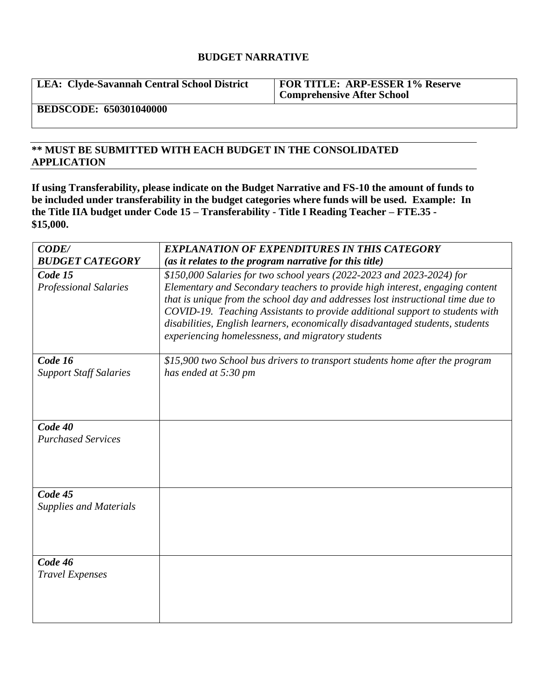## **BUDGET NARRATIVE**

**LEA: Clyde-Savannah Central School District FOR TITLE: ARP-ESSER 1% Reserve** 

**Comprehensive After School** 

**BEDSCODE: 650301040000**

## **\*\* MUST BE SUBMITTED WITH EACH BUDGET IN THE CONSOLIDATED APPLICATION**

**If using Transferability, please indicate on the Budget Narrative and FS-10 the amount of funds to be included under transferability in the budget categories where funds will be used. Example: In the Title IIA budget under Code 15 – Transferability - Title I Reading Teacher – FTE.35 - \$15,000.**

| CODE/                                    | <b>EXPLANATION OF EXPENDITURES IN THIS CATEGORY</b>                                                                                                                                                                                                                                                                                                                                   |
|------------------------------------------|---------------------------------------------------------------------------------------------------------------------------------------------------------------------------------------------------------------------------------------------------------------------------------------------------------------------------------------------------------------------------------------|
| <b>BUDGET CATEGORY</b>                   | (as it relates to the program narrative for this title)                                                                                                                                                                                                                                                                                                                               |
| Code 15                                  | \$150,000 Salaries for two school years (2022-2023 and 2023-2024) for                                                                                                                                                                                                                                                                                                                 |
| Professional Salaries                    | Elementary and Secondary teachers to provide high interest, engaging content<br>that is unique from the school day and addresses lost instructional time due to<br>COVID-19. Teaching Assistants to provide additional support to students with<br>disabilities, English learners, economically disadvantaged students, students<br>experiencing homelessness, and migratory students |
| Code 16<br><b>Support Staff Salaries</b> | \$15,900 two School bus drivers to transport students home after the program<br>has ended at 5:30 pm                                                                                                                                                                                                                                                                                  |
| Code 40                                  |                                                                                                                                                                                                                                                                                                                                                                                       |
| <b>Purchased Services</b>                |                                                                                                                                                                                                                                                                                                                                                                                       |
| Code 45                                  |                                                                                                                                                                                                                                                                                                                                                                                       |
| <b>Supplies and Materials</b>            |                                                                                                                                                                                                                                                                                                                                                                                       |
| Code 46                                  |                                                                                                                                                                                                                                                                                                                                                                                       |
| <b>Travel Expenses</b>                   |                                                                                                                                                                                                                                                                                                                                                                                       |